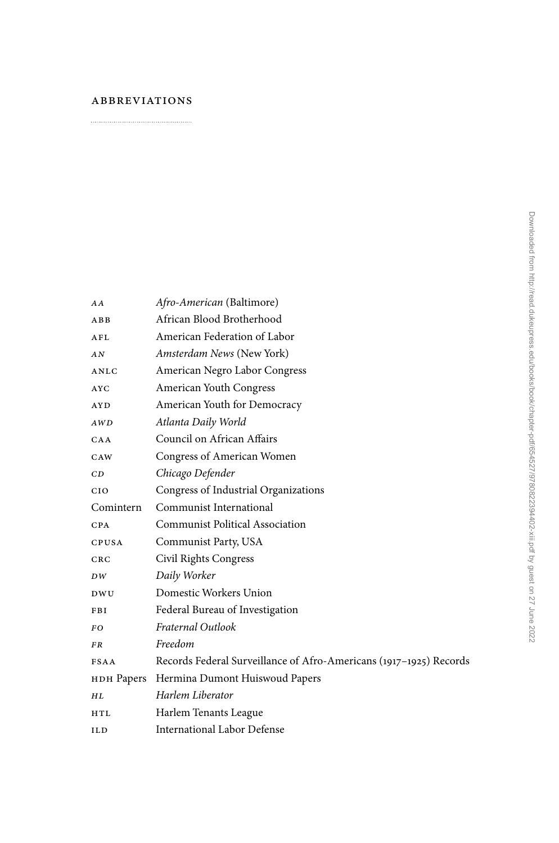## **ABBREVIATIONS**  $\begin{minipage}{.4\linewidth} \begin{minipage}{.4\linewidth} \begin{minipage}{.4\linewidth} \end{minipage} \begin{minipage}{.4\linewidth} \end{minipage} \begin{minipage}{.4\linewidth} \begin{minipage}{.4\linewidth} \end{minipage} \end{minipage} \begin{minipage}{.4\linewidth} \begin{minipage}{.4\linewidth} \end{minipage} \end{minipage} \begin{minipage}{.4\linewidth} \begin{minipage}{.4\linewidth} \end{minipage} \end{minipage} \begin{minipage}{.4\linewidth} \begin{minipage}{.4\linewidth} \end{minipage} \end{minipage} \begin{minipage$

| AA          | Afro-American (Baltimore)                                          |
|-------------|--------------------------------------------------------------------|
| ABB         | African Blood Brotherhood                                          |
| AFL         | American Federation of Labor                                       |
| AN          | Amsterdam News (New York)                                          |
| ANLC        | American Negro Labor Congress                                      |
| <b>AYC</b>  | American Youth Congress                                            |
| AY D        | American Youth for Democracy                                       |
| AWD         | Atlanta Daily World                                                |
| CAA         | Council on African Affairs                                         |
| CAW         | Congress of American Women                                         |
| CD          | Chicago Defender                                                   |
| <b>CIO</b>  | Congress of Industrial Organizations                               |
| Comintern   | Communist International                                            |
| CPA         | <b>Communist Political Association</b>                             |
| CPUSA       | Communist Party, USA                                               |
| CRC         | Civil Rights Congress                                              |
| DW          | Daily Worker                                                       |
| DWU.        | Domestic Workers Union                                             |
| FBI         | Federal Bureau of Investigation                                    |
| FO.         | Fraternal Outlook                                                  |
| FR          | Freedom                                                            |
| <b>FSAA</b> | Records Federal Surveillance of Afro-Americans (1917-1925) Records |
|             | нон Papers Hermina Dumont Huiswoud Papers                          |
| HL          | Harlem Liberator                                                   |
| <b>HTL</b>  | Harlem Tenants League                                              |
| ILD         | <b>International Labor Defense</b>                                 |